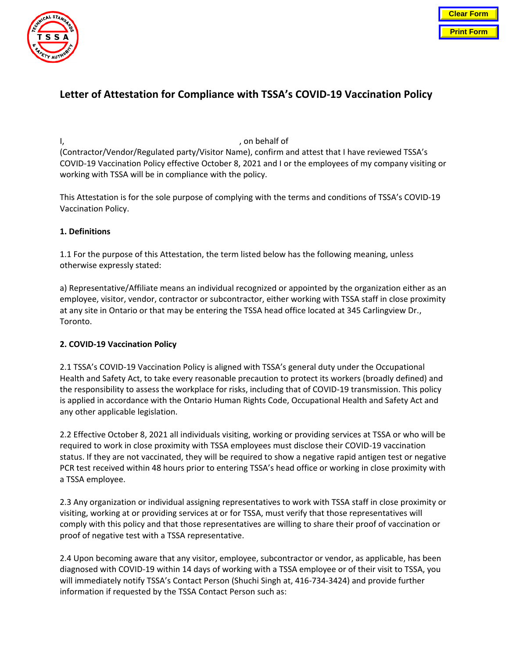

# **Letter of Attestation for Compliance with TSSA's COVID-19 Vaccination Policy**

### I, the contract of the contract of the contract of the contract of the contract of the contract of the contract of the contract of the contract of the contract of the contract of the contract of the contract of the contrac

(Contractor/Vendor/Regulated party/Visitor Name), confirm and attest that I have reviewed TSSA's COVID-19 Vaccination Policy effective October 8, 2021 and I or the employees of my company visiting or working with TSSA will be in compliance with the policy.

This Attestation is for the sole purpose of complying with the terms and conditions of TSSA's COVID-19 Vaccination Policy.

## **1. Definitions**

1.1 For the purpose of this Attestation, the term listed below has the following meaning, unless otherwise expressly stated:

a) Representative/Affiliate means an individual recognized or appointed by the organization either as an employee, visitor, vendor, contractor or subcontractor, either working with TSSA staff in close proximity at any site in Ontario or that may be entering the TSSA head office located at 345 Carlingview Dr., Toronto.

# **2. COVID-19 Vaccination Policy**

2.1 TSSA's COVID-19 Vaccination Policy is aligned with TSSA's general duty under the Occupational Health and Safety Act, to take every reasonable precaution to protect its workers (broadly defined) and the responsibility to assess the workplace for risks, including that of COVID-19 transmission. This policy is applied in accordance with the Ontario Human Rights Code, Occupational Health and Safety Act and any other applicable legislation.

2.2 Effective October 8, 2021 all individuals visiting, working or providing services at TSSA or who will be required to work in close proximity with TSSA employees must disclose their COVID-19 vaccination status. If they are not vaccinated, they will be required to show a negative rapid antigen test or negative PCR test received within 48 hours prior to entering TSSA's head office or working in close proximity with a TSSA employee.

2.3 Any organization or individual assigning representatives to work with TSSA staff in close proximity or visiting, working at or providing services at or for TSSA, must verify that those representatives will comply with this policy and that those representatives are willing to share their proof of vaccination or proof of negative test with a TSSA representative.

2.4 Upon becoming aware that any visitor, employee, subcontractor or vendor, as applicable, has been diagnosed with COVID-19 within 14 days of working with a TSSA employee or of their visit to TSSA, you will immediately notify TSSA's Contact Person (Shuchi Singh at, 416-734-3424) and provide further information if requested by the TSSA Contact Person such as: